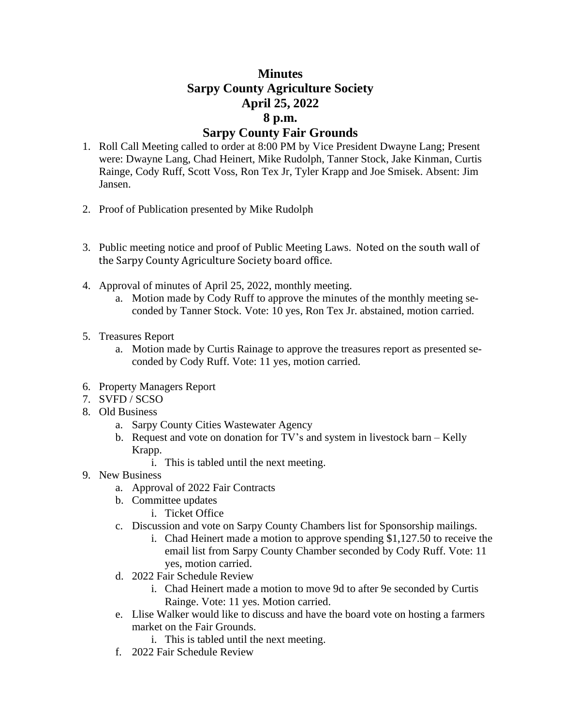## **Minutes Sarpy County Agriculture Society April 25, 2022 8 p.m. Sarpy County Fair Grounds**

- 1. Roll Call Meeting called to order at 8:00 PM by Vice President Dwayne Lang; Present were: Dwayne Lang, Chad Heinert, Mike Rudolph, Tanner Stock, Jake Kinman, Curtis Rainge, Cody Ruff, Scott Voss, Ron Tex Jr, Tyler Krapp and Joe Smisek. Absent: Jim Jansen.
- 2. Proof of Publication presented by Mike Rudolph
- 3. Public meeting notice and proof of Public Meeting Laws. Noted on the south wall of the Sarpy County Agriculture Society board office.
- 4. Approval of minutes of April 25, 2022, monthly meeting.
	- a. Motion made by Cody Ruff to approve the minutes of the monthly meeting seconded by Tanner Stock. Vote: 10 yes, Ron Tex Jr. abstained, motion carried.
- 5. Treasures Report
	- a. Motion made by Curtis Rainage to approve the treasures report as presented seconded by Cody Ruff. Vote: 11 yes, motion carried.
- 6. Property Managers Report
- 7. SVFD / SCSO
- 8. Old Business
	- a. Sarpy County Cities Wastewater Agency
	- b. Request and vote on donation for TV's and system in livestock barn Kelly Krapp.
		- i. This is tabled until the next meeting.
- 9. New Business
	- a. Approval of 2022 Fair Contracts
	- b. Committee updates
		- i. Ticket Office
	- c. Discussion and vote on Sarpy County Chambers list for Sponsorship mailings.
		- i. Chad Heinert made a motion to approve spending \$1,127.50 to receive the email list from Sarpy County Chamber seconded by Cody Ruff. Vote: 11 yes, motion carried.
	- d. 2022 Fair Schedule Review
		- i. Chad Heinert made a motion to move 9d to after 9e seconded by Curtis Rainge. Vote: 11 yes. Motion carried.
	- e. Llise Walker would like to discuss and have the board vote on hosting a farmers market on the Fair Grounds.
		- i. This is tabled until the next meeting.
	- f. 2022 Fair Schedule Review